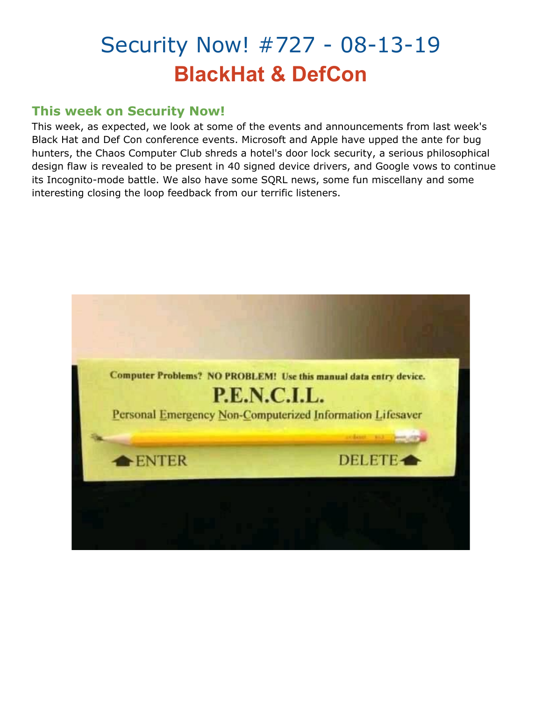# Security Now! #727 - 08-13-19 **BlackHat & DefCon**

### **This week on Security Now!**

This week, as expected, we look at some of the events and announcements from last week's Black Hat and Def Con conference events. Microsoft and Apple have upped the ante for bug hunters, the Chaos Computer Club shreds a hotel's door lock security, a serious philosophical design flaw is revealed to be present in 40 signed device drivers, and Google vows to continue its Incognito-mode battle. We also have some SQRL news, some fun miscellany and some interesting closing the loop feedback from our terrific listeners.

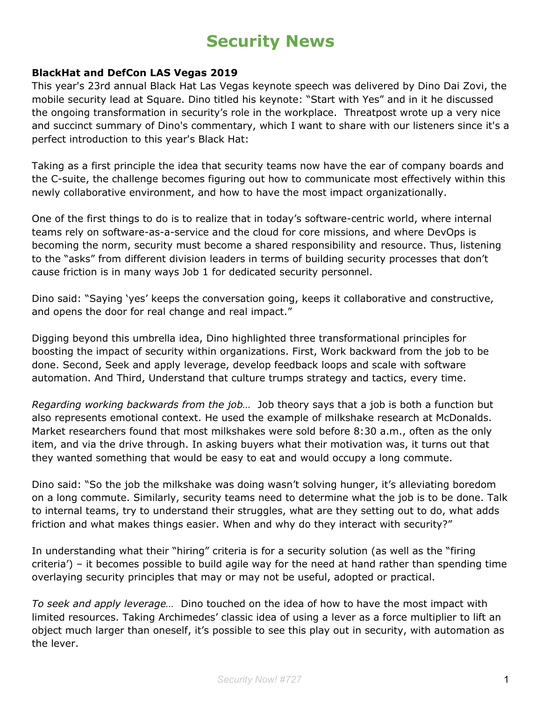# **Security News**

#### **BlackHat and DefCon LAS Vegas 2019**

This year's 23rd annual Black Hat Las Vegas keynote speech was delivered by Dino Dai Zovi, the mobile security lead at Square. Dino titled his keynote: "Start with Yes" and in it he discussed the ongoing transformation in security's role in the workplace. Threatpost wrote up a very nice and succinct summary of Dino's commentary, which I want to share with our listeners since it's a perfect introduction to this year's Black Hat:

Taking as a first principle the idea that security teams now have the ear of company boards and the C-suite, the challenge becomes figuring out how to communicate most effectively within this newly collaborative environment, and how to have the most impact organizationally.

One of the first things to do is to realize that in today's software-centric world, where internal teams rely on software-as-a-service and the cloud for core missions, and where DevOps is becoming the norm, security must become a shared responsibility and resource. Thus, listening to the "asks" from different division leaders in terms of building security processes that don't cause friction is in many ways Job 1 for dedicated security personnel.

Dino said: "Saying 'yes' keeps the conversation going, keeps it collaborative and constructive, and opens the door for real change and real impact."

Digging beyond this umbrella idea, Dino highlighted three transformational principles for boosting the impact of security within organizations. First, Work backward from the job to be done. Second, Seek and apply leverage, develop feedback loops and scale with software automation. And Third, Understand that culture trumps strategy and tactics, every time.

*Regarding working backwards from the job…* Job theory says that a job is both a function but also represents emotional context. He used the example of milkshake research at McDonalds. Market researchers found that most milkshakes were sold before 8:30 a.m., often as the only item, and via the drive through. In asking buyers what their motivation was, it turns out that they wanted something that would be easy to eat and would occupy a long commute.

Dino said: "So the job the milkshake was doing wasn't solving hunger, it's alleviating boredom on a long commute. Similarly, security teams need to determine what the job is to be done. Talk to internal teams, try to understand their struggles, what are they setting out to do, what adds friction and what makes things easier. When and why do they interact with security?"

In understanding what their "hiring" criteria is for a security solution (as well as the "firing criteria') – it becomes possible to build agile way for the need at hand rather than spending time overlaying security principles that may or may not be useful, adopted or practical.

*To seek and apply leverage…* Dino touched on the idea of how to have the most impact with limited resources. Taking Archimedes' classic idea of using a lever as a force multiplier to lift an object much larger than oneself, it's possible to see this play out in security, with automation as the lever.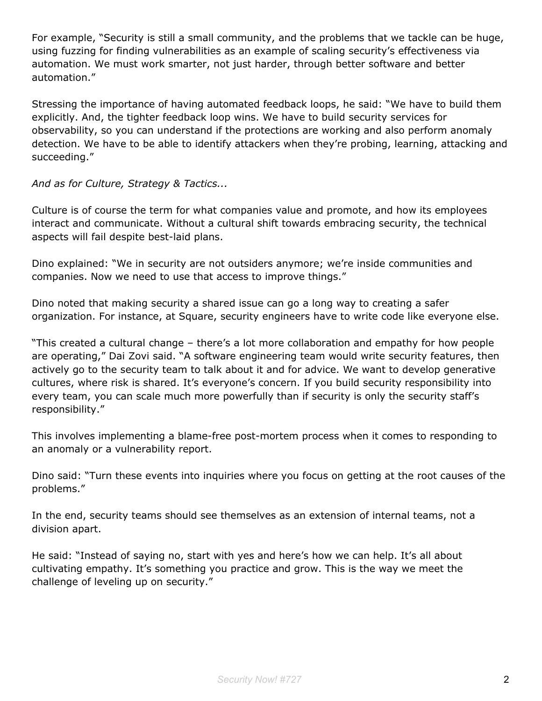For example, "Security is still a small community, and the problems that we tackle can be huge, using fuzzing for finding vulnerabilities as an example of scaling security's effectiveness via automation. We must work smarter, not just harder, through better software and better automation."

Stressing the importance of having automated feedback loops, he said: "We have to build them explicitly. And, the tighter feedback loop wins. We have to build security services for observability, so you can understand if the protections are working and also perform anomaly detection. We have to be able to identify attackers when they're probing, learning, attacking and succeeding."

#### *And as for Culture, Strategy & Tactics...*

Culture is of course the term for what companies value and promote, and how its employees interact and communicate. Without a cultural shift towards embracing security, the technical aspects will fail despite best-laid plans.

Dino explained: "We in security are not outsiders anymore; we're inside communities and companies. Now we need to use that access to improve things."

Dino noted that making security a shared issue can go a long way to creating a safer organization. For instance, at Square, security engineers have to write code like everyone else.

"This created a cultural change – there's a lot more collaboration and empathy for how people are operating," Dai Zovi said. "A software engineering team would write security features, then actively go to the security team to talk about it and for advice. We want to develop generative cultures, where risk is shared. It's everyone's concern. If you build security responsibility into every team, you can scale much more powerfully than if security is only the security staff's responsibility."

This involves implementing a blame-free post-mortem process when it comes to responding to an anomaly or a vulnerability report.

Dino said: "Turn these events into inquiries where you focus on getting at the root causes of the problems."

In the end, security teams should see themselves as an extension of internal teams, not a division apart.

He said: "Instead of saying no, start with yes and here's how we can help. It's all about cultivating empathy. It's something you practice and grow. This is the way we meet the challenge of leveling up on security."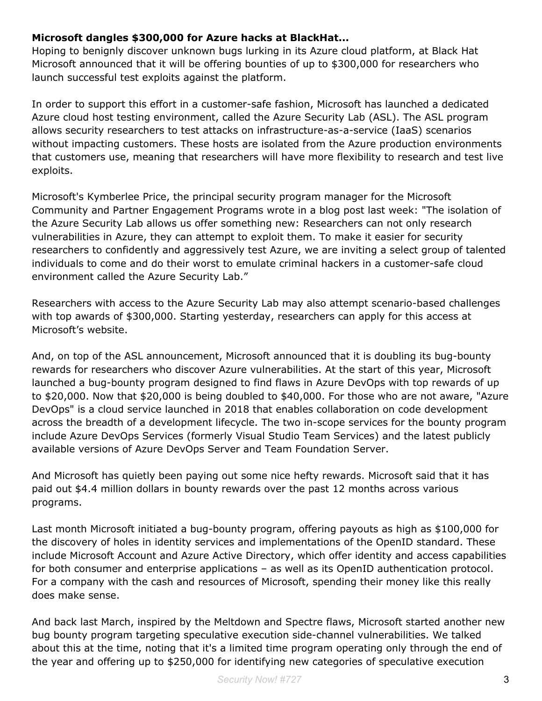#### **Microsoft dangles \$300,000 for Azure hacks at BlackHat...**

Hoping to benignly discover unknown bugs lurking in its Azure cloud platform, at Black Hat Microsoft announced that it will be offering bounties of up to \$300,000 for researchers who launch successful test exploits against the platform.

In order to support this effort in a customer-safe fashion, Microsoft has launched a dedicated Azure cloud host testing environment, called the Azure Security Lab (ASL). The ASL program allows security researchers to test attacks on infrastructure-as-a-service (IaaS) scenarios without impacting customers. These hosts are isolated from the Azure production environments that customers use, meaning that researchers will have more flexibility to research and test live exploits.

Microsoft's Kymberlee Price, the principal security program manager for the Microsoft Community and Partner Engagement Programs wrote in a blog post last week: "The isolation of the Azure Security Lab allows us offer something new: Researchers can not only research vulnerabilities in Azure, they can attempt to exploit them. To make it easier for security researchers to confidently and aggressively test Azure, we are inviting a select group of talented individuals to come and do their worst to emulate criminal hackers in a customer-safe cloud environment called the Azure Security Lab."

Researchers with access to the Azure Security Lab may also attempt scenario-based challenges with top awards of \$300,000. Starting yesterday, researchers can apply for this access at Microsoft's website.

And, on top of the ASL announcement, Microsoft announced that it is doubling its bug-bounty rewards for researchers who discover Azure vulnerabilities. At the start of this year, Microsoft launched a bug-bounty program designed to find flaws in Azure DevOps with top rewards of up to \$20,000. Now that \$20,000 is being doubled to \$40,000. For those who are not aware, "Azure DevOps" is a cloud service launched in 2018 that enables collaboration on code development across the breadth of a development lifecycle. The two in-scope services for the bounty program include Azure DevOps Services (formerly Visual Studio Team Services) and the latest publicly available versions of Azure DevOps Server and Team Foundation Server.

And Microsoft has quietly been paying out some nice hefty rewards. Microsoft said that it has paid out \$4.4 million dollars in bounty rewards over the past 12 months across various programs.

Last month Microsoft initiated a bug-bounty program, offering payouts as high as \$100,000 for the discovery of holes in identity services and implementations of the OpenID standard. These include Microsoft Account and Azure Active Directory, which offer identity and access capabilities for both consumer and enterprise applications – as well as its OpenID authentication protocol. For a company with the cash and resources of Microsoft, spending their money like this really does make sense.

And back last March, inspired by the Meltdown and Spectre flaws, Microsoft started another new bug bounty program targeting speculative execution side-channel vulnerabilities. We talked about this at the time, noting that it's a limited time program operating only through the end of the year and offering up to \$250,000 for identifying new categories of speculative execution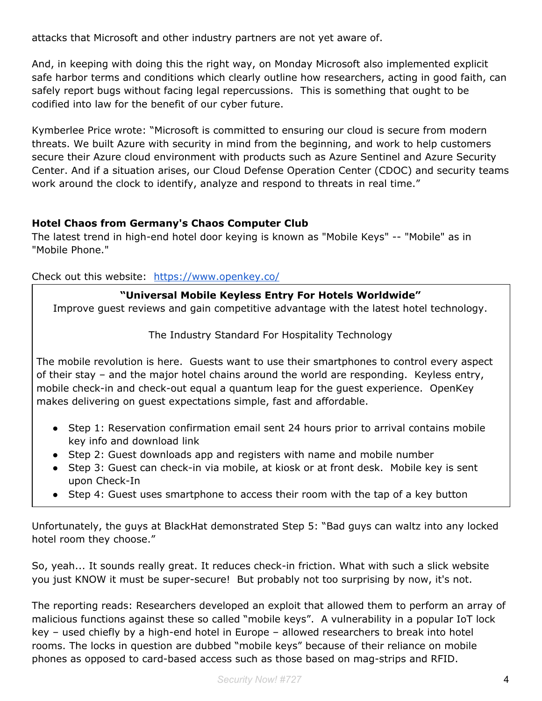attacks that Microsoft and other industry partners are not yet aware of.

And, in keeping with doing this the right way, on Monday Microsoft also implemented explicit safe harbor terms and conditions which clearly outline how researchers, acting in good faith, can safely report bugs without facing legal repercussions. This is something that ought to be codified into law for the benefit of our cyber future.

Kymberlee Price wrote: "Microsoft is committed to ensuring our cloud is secure from modern threats. We built Azure with security in mind from the beginning, and work to help customers secure their Azure cloud environment with products such as Azure Sentinel and Azure Security Center. And if a situation arises, our Cloud Defense Operation Center (CDOC) and security teams work around the clock to identify, analyze and respond to threats in real time."

#### **Hotel Chaos from Germany's Chaos Computer Club**

The latest trend in high-end hotel door keying is known as "Mobile Keys" -- "Mobile" as in "Mobile Phone."

Check out this website: <https://www.openkey.co/>

#### **"Universal Mobile Keyless Entry For Hotels Worldwide"**

Improve guest reviews and gain competitive advantage with the latest hotel technology.

#### The Industry Standard For Hospitality Technology

The mobile revolution is here. Guests want to use their smartphones to control every aspect of their stay – and the major hotel chains around the world are responding. Keyless entry, mobile check-in and check-out equal a quantum leap for the guest experience. OpenKey makes delivering on guest expectations simple, fast and affordable.

- Step 1: Reservation confirmation email sent 24 hours prior to arrival contains mobile key info and download link
- Step 2: Guest downloads app and registers with name and mobile number
- Step 3: Guest can check-in via mobile, at kiosk or at front desk. Mobile key is sent upon Check-In
- Step 4: Guest uses smartphone to access their room with the tap of a key button

Unfortunately, the guys at BlackHat demonstrated Step 5: "Bad guys can waltz into any locked hotel room they choose."

So, yeah... It sounds really great. It reduces check-in friction. What with such a slick website you just KNOW it must be super-secure! But probably not too surprising by now, it's not.

The reporting reads: Researchers developed an exploit that allowed them to perform an array of malicious functions against these so called "mobile keys". A vulnerability in a popular IoT lock key – used chiefly by a high-end hotel in Europe – allowed researchers to break into hotel rooms. The locks in question are dubbed "mobile keys" because of their reliance on mobile phones as opposed to card-based access such as those based on mag-strips and RFID.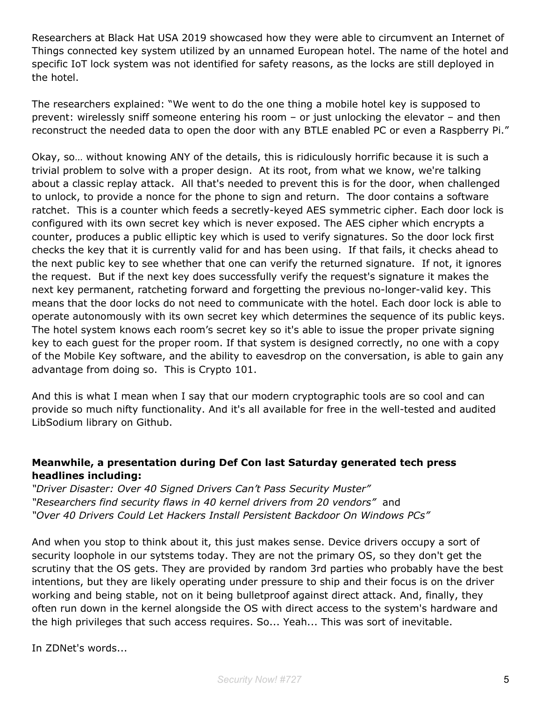Researchers at Black Hat USA 2019 showcased how they were able to circumvent an Internet of Things connected key system utilized by an unnamed European hotel. The name of the hotel and specific IoT lock system was not identified for safety reasons, as the locks are still deployed in the hotel.

The researchers explained: "We went to do the one thing a mobile hotel key is supposed to prevent: wirelessly sniff someone entering his room – or just unlocking the elevator – and then reconstruct the needed data to open the door with any BTLE enabled PC or even a Raspberry Pi."

Okay, so… without knowing ANY of the details, this is ridiculously horrific because it is such a trivial problem to solve with a proper design. At its root, from what we know, we're talking about a classic replay attack. All that's needed to prevent this is for the door, when challenged to unlock, to provide a nonce for the phone to sign and return. The door contains a software ratchet. This is a counter which feeds a secretly-keyed AES symmetric cipher. Each door lock is configured with its own secret key which is never exposed. The AES cipher which encrypts a counter, produces a public elliptic key which is used to verify signatures. So the door lock first checks the key that it is currently valid for and has been using. If that fails, it checks ahead to the next public key to see whether that one can verify the returned signature. If not, it ignores the request. But if the next key does successfully verify the request's signature it makes the next key permanent, ratcheting forward and forgetting the previous no-longer-valid key. This means that the door locks do not need to communicate with the hotel. Each door lock is able to operate autonomously with its own secret key which determines the sequence of its public keys. The hotel system knows each room's secret key so it's able to issue the proper private signing key to each guest for the proper room. If that system is designed correctly, no one with a copy of the Mobile Key software, and the ability to eavesdrop on the conversation, is able to gain any advantage from doing so. This is Crypto 101.

And this is what I mean when I say that our modern cryptographic tools are so cool and can provide so much nifty functionality. And it's all available for free in the well-tested and audited LibSodium library on Github.

#### **Meanwhile, a presentation during Def Con last Saturday generated tech press headlines including:**

*"Driver Disaster: Over 40 Signed Drivers Can't Pass Security Muster" "Researchers find security flaws in 40 kernel drivers from 20 vendors"* and *"Over 40 Drivers Could Let Hackers Install Persistent Backdoor On Windows PCs"*

And when you stop to think about it, this just makes sense. Device drivers occupy a sort of security loophole in our sytstems today. They are not the primary OS, so they don't get the scrutiny that the OS gets. They are provided by random 3rd parties who probably have the best intentions, but they are likely operating under pressure to ship and their focus is on the driver working and being stable, not on it being bulletproof against direct attack. And, finally, they often run down in the kernel alongside the OS with direct access to the system's hardware and the high privileges that such access requires. So... Yeah... This was sort of inevitable.

In ZDNet's words...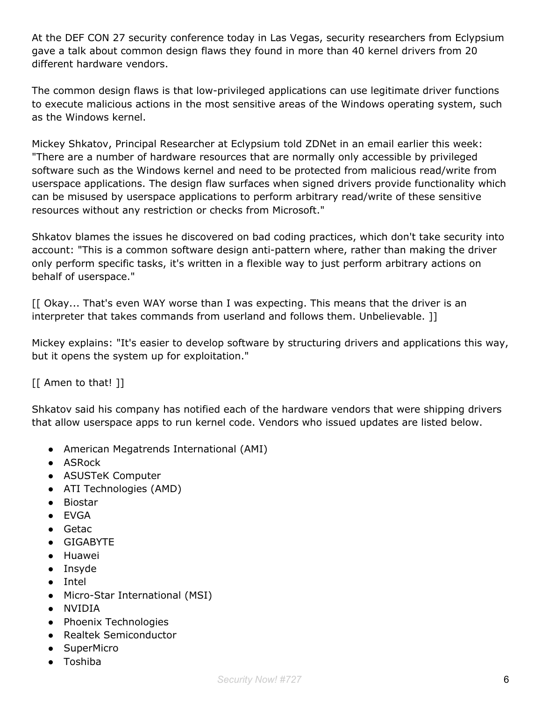At the DEF CON 27 security conference today in Las Vegas, security researchers from Eclypsium gave a talk about common design flaws they found in more than 40 kernel drivers from 20 different hardware vendors.

The common design flaws is that low-privileged applications can use legitimate driver functions to execute malicious actions in the most sensitive areas of the Windows operating system, such as the Windows kernel.

Mickey Shkatov, Principal Researcher at Eclypsium told ZDNet in an email earlier this week: "There are a number of hardware resources that are normally only accessible by privileged software such as the Windows kernel and need to be protected from malicious read/write from userspace applications. The design flaw surfaces when signed drivers provide functionality which can be misused by userspace applications to perform arbitrary read/write of these sensitive resources without any restriction or checks from Microsoft."

Shkatov blames the issues he discovered on bad coding practices, which don't take security into account: "This is a common software design anti-pattern where, rather than making the driver only perform specific tasks, it's written in a flexible way to just perform arbitrary actions on behalf of userspace."

[[ Okay... That's even WAY worse than I was expecting. This means that the driver is an interpreter that takes commands from userland and follows them. Unbelievable. ]]

Mickey explains: "It's easier to develop software by structuring drivers and applications this way, but it opens the system up for exploitation."

[[ Amen to that! ]]

Shkatov said his company has notified each of the hardware vendors that were shipping drivers that allow userspace apps to run kernel code. Vendors who issued updates are listed below.

- American Megatrends International (AMI)
- ASRock
- ASUSTeK Computer
- ATI Technologies (AMD)
- Biostar
- EVGA
- Getac
- GIGABYTE
- Huawei
- Insyde
- Intel
- Micro-Star International (MSI)
- NVIDIA
- Phoenix Technologies
- Realtek Semiconductor
- SuperMicro
- Toshiba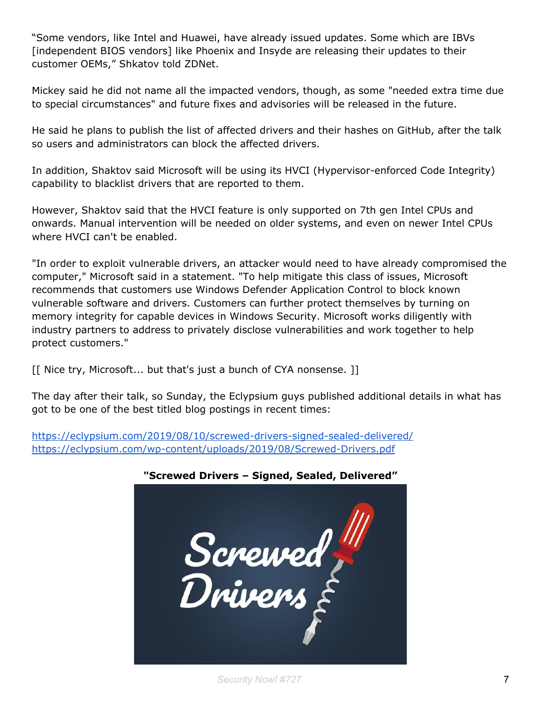"Some vendors, like Intel and Huawei, have already issued updates. Some which are IBVs [independent BIOS vendors] like Phoenix and Insyde are releasing their updates to their customer OEMs," Shkatov told ZDNet.

Mickey said he did not name all the impacted vendors, though, as some "needed extra time due to special circumstances" and future fixes and advisories will be released in the future.

He said he plans to publish the list of affected drivers and their hashes on GitHub, after the talk so users and administrators can block the affected drivers.

In addition, Shaktov said Microsoft will be using its HVCI (Hypervisor-enforced Code Integrity) capability to blacklist drivers that are reported to them.

However, Shaktov said that the HVCI feature is only supported on 7th gen Intel CPUs and onwards. Manual intervention will be needed on older systems, and even on newer Intel CPUs where HVCI can't be enabled.

"In order to exploit vulnerable drivers, an attacker would need to have already compromised the computer," Microsoft said in a statement. "To help mitigate this class of issues, Microsoft recommends that customers use Windows Defender Application Control to block known vulnerable software and drivers. Customers can further protect themselves by turning on memory integrity for capable devices in Windows Security. Microsoft works diligently with industry partners to address to privately disclose vulnerabilities and work together to help protect customers."

[[ Nice try, Microsoft... but that's just a bunch of CYA nonsense. ]]

The day after their talk, so Sunday, the Eclypsium guys published additional details in what has got to be one of the best titled blog postings in recent times:

<https://eclypsium.com/2019/08/10/screwed-drivers-signed-sealed-delivered/> <https://eclypsium.com/wp-content/uploads/2019/08/Screwed-Drivers.pdf>



### **"Screwed Drivers – Signed, Sealed, Delivered"**

*Security Now! #727* 7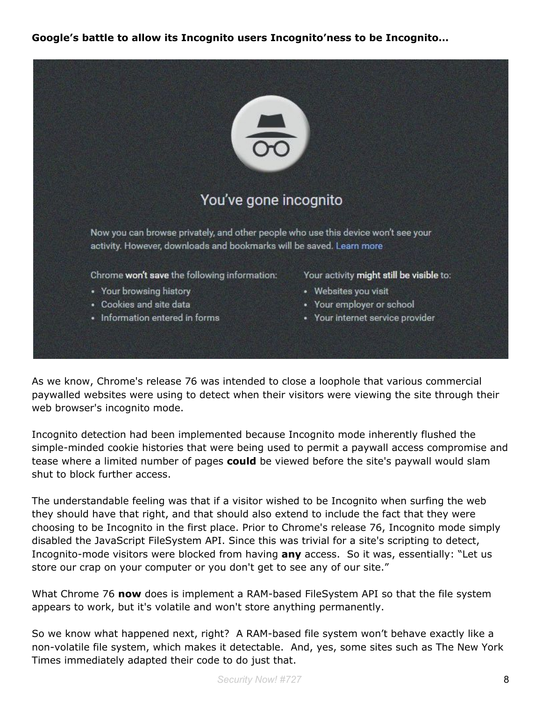#### **Google's battle to allow its Incognito users Incognito'ness to be Incognito…**



As we know, Chrome's release 76 was intended to close a loophole that various commercial paywalled websites were using to detect when their visitors were viewing the site through their web browser's incognito mode.

Incognito detection had been implemented because Incognito mode inherently flushed the simple-minded cookie histories that were being used to permit a paywall access compromise and tease where a limited number of pages **could** be viewed before the site's paywall would slam shut to block further access.

The understandable feeling was that if a visitor wished to be Incognito when surfing the web they should have that right, and that should also extend to include the fact that they were choosing to be Incognito in the first place. Prior to Chrome's release 76, Incognito mode simply disabled the JavaScript FileSystem API. Since this was trivial for a site's scripting to detect, Incognito-mode visitors were blocked from having **any** access. So it was, essentially: "Let us store our crap on your computer or you don't get to see any of our site."

What Chrome 76 **now** does is implement a RAM-based FileSystem API so that the file system appears to work, but it's volatile and won't store anything permanently.

So we know what happened next, right? A RAM-based file system won't behave exactly like a non-volatile file system, which makes it detectable. And, yes, some sites such as The New York Times immediately adapted their code to do just that.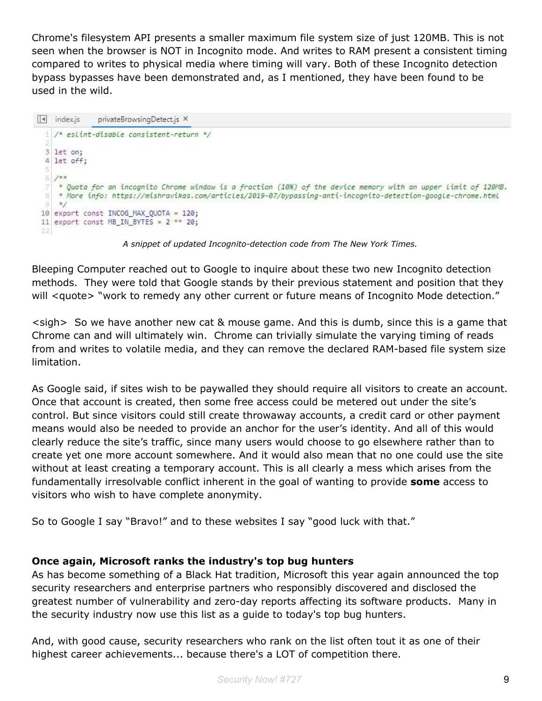Chrome's filesystem API presents a smaller maximum file system size of just 120MB. This is not seen when the browser is NOT in Incognito mode. And writes to RAM present a consistent timing compared to writes to physical media where timing will vary. Both of these Incognito detection bypass bypasses have been demonstrated and, as I mentioned, they have been found to be used in the wild.

```
\boxed{4} index.js
              privateBrowsingDetect.js ×
 1 /* eslint-disable consistent-return */
 3 let on;
 4 let off;
 店
 6/*** Ouota for an incognito Chrome window is a fraction (10%) of the device memory with an upper Limit of 120MB.
 7.
 B* More info: https://mishravikas.com/articles/2019-07/bypassing-anti-incognito-detection-google-chrome.html
   \ast/
 \Omega10 export const INCOG_MAX_QUOTA = 120;
11 export const MB IN BYTES = 2 ** 20;
12
```
*A snippet of updated Incognito-detection code from The New York Times.*

Bleeping Computer reached out to Google to inquire about these two new Incognito detection methods. They were told that Google stands by their previous statement and position that they will <quote> "work to remedy any other current or future means of Incognito Mode detection."

<sigh> So we have another new cat & mouse game. And this is dumb, since this is a game that Chrome can and will ultimately win. Chrome can trivially simulate the varying timing of reads from and writes to volatile media, and they can remove the declared RAM-based file system size limitation.

As Google said, if sites wish to be paywalled they should require all visitors to create an account. Once that account is created, then some free access could be metered out under the site's control. But since visitors could still create throwaway accounts, a credit card or other payment means would also be needed to provide an anchor for the user's identity. And all of this would clearly reduce the site's traffic, since many users would choose to go elsewhere rather than to create yet one more account somewhere. And it would also mean that no one could use the site without at least creating a temporary account. This is all clearly a mess which arises from the fundamentally irresolvable conflict inherent in the goal of wanting to provide **some** access to visitors who wish to have complete anonymity.

So to Google I say "Bravo!" and to these websites I say "good luck with that."

#### **Once again, Microsoft ranks the industry's top bug hunters**

As has become something of a Black Hat tradition, Microsoft this year again announced the top security researchers and enterprise partners who responsibly discovered and disclosed the greatest number of vulnerability and zero-day reports affecting its software products. Many in the security industry now use this list as a guide to today's top bug hunters.

And, with good cause, security researchers who rank on the list often tout it as one of their highest career achievements... because there's a LOT of competition there.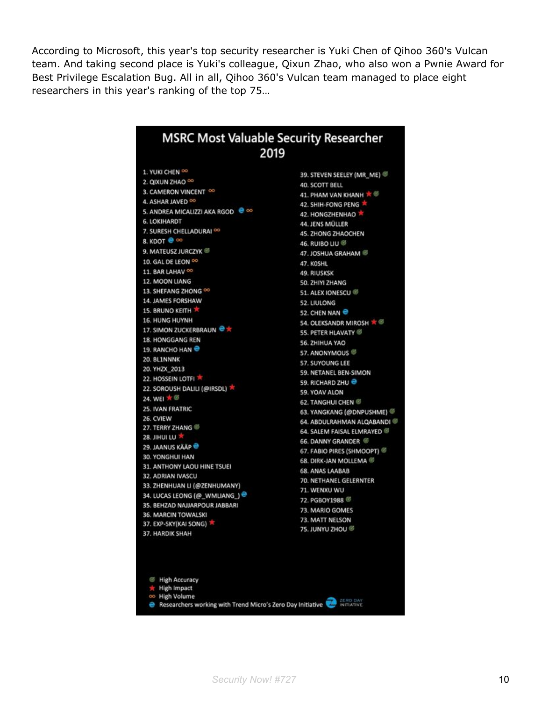According to Microsoft, this year's top security researcher is Yuki Chen of Qihoo 360's Vulcan team. And taking second place is Yuki's colleague, Qixun Zhao, who also won a Pwnie Award for Best Privilege Escalation Bug. All in all, Qihoo 360's Vulcan team managed to place eight researchers in this year's ranking of the top 75…

| <b>MSRC Most Valuable Security Researcher</b><br>2019                            |                             |
|----------------------------------------------------------------------------------|-----------------------------|
| 1. YUKI CHEN OO                                                                  | 39. STEVEN SEELEY (MR_ME)   |
| 2. QIXUN ZHAO OO                                                                 | 40. SCOTT BELL              |
| 3. CAMERON VINCENT OO                                                            | 41. PHAM VAN KHANH ★ ©      |
| 4. ASHAR JAVED OO                                                                | 42. SHIH-FONG PENG          |
| 5. ANDREA MICALIZZI AKA RGOD <sup>@</sup> ∞                                      | 42. HONGZHENHAO             |
| <b>6. LOKIHARDT</b>                                                              | 44. JENS MÜLLER             |
| 7. SURESH CHELLADURAI <sup>00</sup>                                              | 45. ZHONG ZHAOCHEN          |
| 8. КООТ ● ∞                                                                      | 46. RUIBO LIU <sup>@</sup>  |
| 9. MATEUSZ JURCZYK                                                               | 47. JOSHUA GRAHAM           |
| 10. GAL DE LEON 00                                                               | 47. KOSHL                   |
| 11. BAR LAHAV OO                                                                 | 49. RIUSKSK                 |
| 12. MOON LIANG                                                                   | 50. ZHIYI ZHANG             |
| 13. SHEFANG ZHONG 00                                                             | 51. ALEX IONESCU            |
| 14. JAMES FORSHAW                                                                | <b>52. LIULONG</b>          |
| <b>15. BRUNO KEITH TH</b>                                                        | 52. CHEN NAN                |
| <b>16. HUNG HUYNH</b>                                                            | 54. OLEKSANDR MIROSH 京      |
| 17. SIMON ZUCKERBRAUN <sup>@</sup> *                                             | 55. PETER HLAVATY           |
| 18. HONGGANG REN                                                                 | 56. ZHIHUA YAO              |
| 19. RANCHO HAN                                                                   | 57. ANONYMOUS               |
| 20. BL1NNNK                                                                      | <b>57. SUYOUNG LEE</b>      |
| 20. YHZX 2013                                                                    | 59. NETANEL BEN-SIMON       |
| 22. HOSSEIN LOTFI                                                                | 59. RICHARD ZHU             |
| 22. SOROUSH DALILI (@IRSDL)                                                      | 59. YOAV ALON               |
| 24. WEI 水图                                                                       | <b>62. TANGHUI CHEN 67</b>  |
| 25. IVAN FRATRIC                                                                 | 63. YANGKANG (@DNPUSHME)    |
| 26. CVIEW                                                                        | 64. ABDULRAHMAN ALQABANDI ® |
| 27. TERRY ZHANG                                                                  | 64. SALEM FAISAL ELMRAYED   |
| 28. JIHUI LU                                                                     | 66. DANNY GRANDER           |
| 29. JAANUS KÄÄP <sup>@</sup>                                                     | 67. FABIO PIRES (SHMOOPT)   |
| 30. YONGHUI HAN                                                                  | 68. DIRK-JAN MOLLEMA 6      |
| 31. ANTHONY LAOU HINE TSUEI<br>32. ADRIAN IVASCU                                 | <b>68. ANAS LAABAB</b>      |
| 33. ZHENHUAN LI (@ZENHUMANY)                                                     | 70. NETHANEL GELERNTER      |
| 34. LUCAS LEONG (@_WMLIANG_) <sup>@</sup>                                        | 71. WENXU WU                |
| 35. BEHZAD NAJJARPOUR JABBARI                                                    | 72. PGBOY1988               |
| 36. MARCIN TOWALSKI                                                              | 73. MARIO GOMES             |
| 37. EXP-SKY(KAI SONG)                                                            | 73. MATT NELSON             |
| 37. HARDIK SHAH                                                                  | 75. JUNYU ZHOU ®            |
| <b>E</b> High Accuracy<br><b>High Impact</b><br>∞ High Volume                    | ZERO DAY                    |
| Researchers working with Trend Micro's Zero Day Initiative<br><b>IN ITIATIVE</b> |                             |

**Security** Now! #727 **10**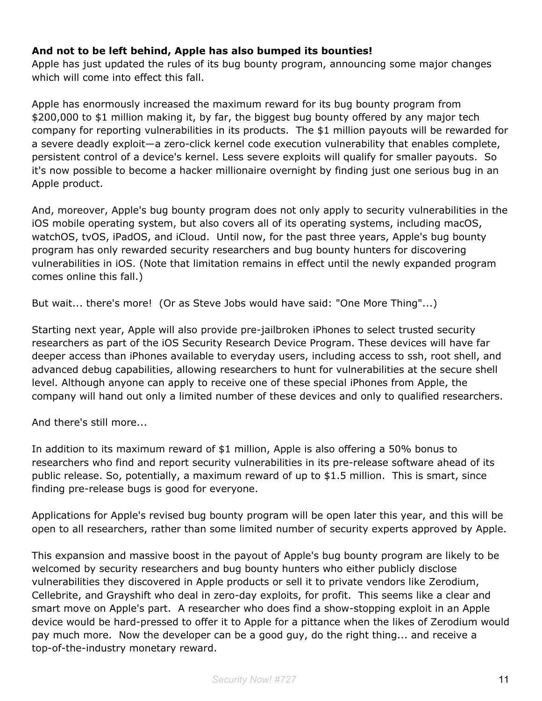#### **And not to be left behind, Apple has also bumped its bounties!**

Apple has just updated the rules of its bug bounty program, announcing some major changes which will come into effect this fall.

Apple has enormously increased the maximum reward for its bug bounty program from \$200,000 to \$1 million making it, by far, the biggest bug bounty offered by any major tech company for reporting vulnerabilities in its products. The \$1 million payouts will be rewarded for a severe deadly exploit—a zero-click kernel code execution vulnerability that enables complete, persistent control of a device's kernel. Less severe exploits will qualify for smaller payouts. So it's now possible to become a hacker millionaire overnight by finding just one serious bug in an Apple product.

And, moreover, Apple's bug bounty program does not only apply to security vulnerabilities in the iOS mobile operating system, but also covers all of its operating systems, including macOS, watchOS, tvOS, iPadOS, and iCloud. Until now, for the past three years, Apple's bug bounty program has only rewarded security researchers and bug bounty hunters for discovering vulnerabilities in iOS. (Note that limitation remains in effect until the newly expanded program comes online this fall.)

But wait... there's more! (Or as Steve Jobs would have said: "One More Thing"...)

Starting next year, Apple will also provide pre-jailbroken iPhones to select trusted security researchers as part of the iOS Security Research Device Program. These devices will have far deeper access than iPhones available to everyday users, including access to ssh, root shell, and advanced debug capabilities, allowing researchers to hunt for vulnerabilities at the secure shell level. Although anyone can apply to receive one of these special iPhones from Apple, the company will hand out only a limited number of these devices and only to qualified researchers.

And there's still more...

In addition to its maximum reward of \$1 million, Apple is also offering a 50% bonus to researchers who find and report security vulnerabilities in its pre-release software ahead of its public release. So, potentially, a maximum reward of up to \$1.5 million. This is smart, since finding pre-release bugs is good for everyone.

Applications for Apple's revised bug bounty program will be open later this year, and this will be open to all researchers, rather than some limited number of security experts approved by Apple.

This expansion and massive boost in the payout of Apple's bug bounty program are likely to be welcomed by security researchers and bug bounty hunters who either publicly disclose vulnerabilities they discovered in Apple products or sell it to private vendors like Zerodium, Cellebrite, and Grayshift who deal in zero-day exploits, for profit. This seems like a clear and smart move on Apple's part. A researcher who does find a show-stopping exploit in an Apple device would be hard-pressed to offer it to Apple for a pittance when the likes of Zerodium would pay much more. Now the developer can be a good guy, do the right thing... and receive a top-of-the-industry monetary reward.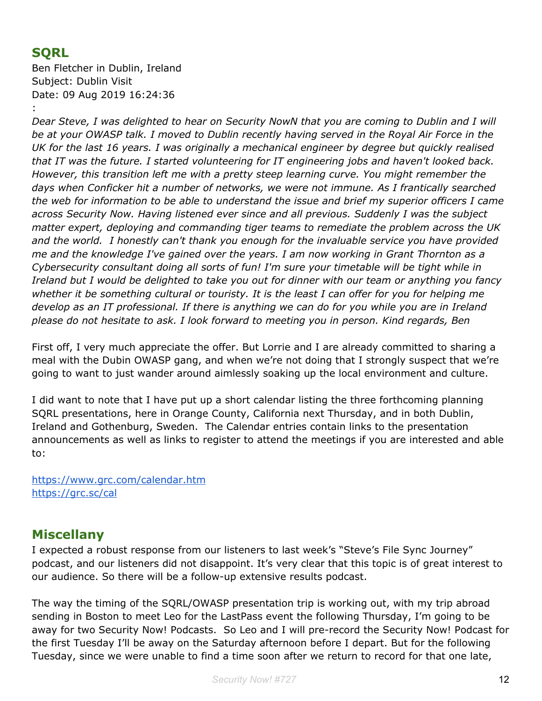# **SQRL**

Ben Fletcher in Dublin, Ireland Subject: Dublin Visit Date: 09 Aug 2019 16:24:36

:

Dear Steve, I was delighted to hear on Security NowN that you are coming to Dublin and I will be at your OWASP talk. I moved to Dublin recently having served in the Royal Air Force in the *UK for the last 16 years. I was originally a mechanical engineer by degree but quickly realised that IT was the future. I started volunteering for IT engineering jobs and haven't looked back. However, this transition left me with a pretty steep learning curve. You might remember the days when Conficker hit a number of networks, we were not immune. As I frantically searched the web for information to be able to understand the issue and brief my superior officers I came across Security Now. Having listened ever since and all previous. Suddenly I was the subject matter expert, deploying and commanding tiger teams to remediate the problem across the UK and the world. I honestly can't thank you enough for the invaluable service you have provided me and the knowledge I've gained over the years. I am now working in Grant Thornton as a Cybersecurity consultant doing all sorts of fun! I'm sure your timetable will be tight while in* Ireland but I would be delighted to take you out for dinner with our team or anything you fancy whether it be something cultural or touristy. It is the least I can offer for you for helping me develop as an IT professional. If there is anything we can do for you while you are in Ireland *please do not hesitate to ask. I look forward to meeting you in person. Kind regards, Ben*

First off, I very much appreciate the offer. But Lorrie and I are already committed to sharing a meal with the Dubin OWASP gang, and when we're not doing that I strongly suspect that we're going to want to just wander around aimlessly soaking up the local environment and culture.

I did want to note that I have put up a short calendar listing the three forthcoming planning SQRL presentations, here in Orange County, California next Thursday, and in both Dublin, Ireland and Gothenburg, Sweden. The Calendar entries contain links to the presentation announcements as well as links to register to attend the meetings if you are interested and able to:

<https://www.grc.com/calendar.htm> <https://grc.sc/cal>

# **Miscellany**

I expected a robust response from our listeners to last week's "Steve's File Sync Journey" podcast, and our listeners did not disappoint. It's very clear that this topic is of great interest to our audience. So there will be a follow-up extensive results podcast.

The way the timing of the SQRL/OWASP presentation trip is working out, with my trip abroad sending in Boston to meet Leo for the LastPass event the following Thursday, I'm going to be away for two Security Now! Podcasts. So Leo and I will pre-record the Security Now! Podcast for the first Tuesday I'll be away on the Saturday afternoon before I depart. But for the following Tuesday, since we were unable to find a time soon after we return to record for that one late,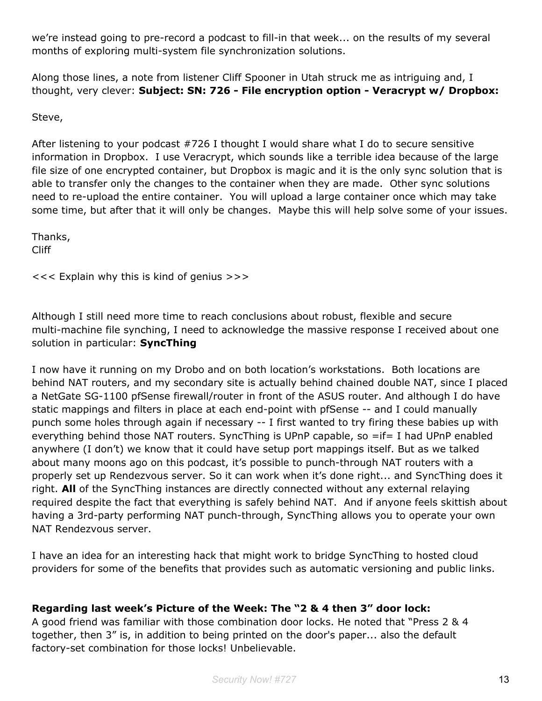we're instead going to pre-record a podcast to fill-in that week... on the results of my several months of exploring multi-system file synchronization solutions.

Along those lines, a note from listener Cliff Spooner in Utah struck me as intriguing and, I thought, very clever: **Subject: SN: 726 - File encryption option - Veracrypt w/ Dropbox:**

Steve,

After listening to your podcast #726 I thought I would share what I do to secure sensitive information in Dropbox. I use Veracrypt, which sounds like a terrible idea because of the large file size of one encrypted container, but Dropbox is magic and it is the only sync solution that is able to transfer only the changes to the container when they are made. Other sync solutions need to re-upload the entire container. You will upload a large container once which may take some time, but after that it will only be changes. Maybe this will help solve some of your issues.

Thanks, Cliff

<<< Explain why this is kind of genius >>>

Although I still need more time to reach conclusions about robust, flexible and secure multi-machine file synching, I need to acknowledge the massive response I received about one solution in particular: **SyncThing**

I now have it running on my Drobo and on both location's workstations. Both locations are behind NAT routers, and my secondary site is actually behind chained double NAT, since I placed a NetGate SG-1100 pfSense firewall/router in front of the ASUS router. And although I do have static mappings and filters in place at each end-point with pfSense -- and I could manually punch some holes through again if necessary -- I first wanted to try firing these babies up with everything behind those NAT routers. SyncThing is UPnP capable, so =if= I had UPnP enabled anywhere (I don't) we know that it could have setup port mappings itself. But as we talked about many moons ago on this podcast, it's possible to punch-through NAT routers with a properly set up Rendezvous server. So it can work when it's done right... and SyncThing does it right. **All** of the SyncThing instances are directly connected without any external relaying required despite the fact that everything is safely behind NAT. And if anyone feels skittish about having a 3rd-party performing NAT punch-through, SyncThing allows you to operate your own NAT Rendezvous server.

I have an idea for an interesting hack that might work to bridge SyncThing to hosted cloud providers for some of the benefits that provides such as automatic versioning and public links.

#### **Regarding last week's Picture of the Week: The "2 & 4 then 3" door lock:**

A good friend was familiar with those combination door locks. He noted that "Press 2 & 4 together, then 3" is, in addition to being printed on the door's paper... also the default factory-set combination for those locks! Unbelievable.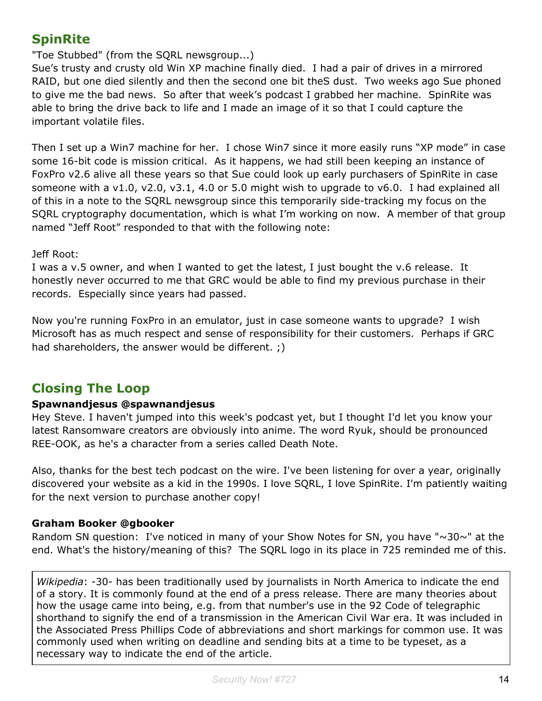# **SpinRite**

"Toe Stubbed" (from the SQRL newsgroup...)

Sue's trusty and crusty old Win XP machine finally died. I had a pair of drives in a mirrored RAID, but one died silently and then the second one bit theS dust. Two weeks ago Sue phoned to give me the bad news. So after that week's podcast I grabbed her machine. SpinRite was able to bring the drive back to life and I made an image of it so that I could capture the important volatile files.

Then I set up a Win7 machine for her. I chose Win7 since it more easily runs "XP mode" in case some 16-bit code is mission critical. As it happens, we had still been keeping an instance of FoxPro v2.6 alive all these years so that Sue could look up early purchasers of SpinRite in case someone with a v1.0, v2.0, v3.1, 4.0 or 5.0 might wish to upgrade to v6.0. I had explained all of this in a note to the SQRL newsgroup since this temporarily side-tracking my focus on the SQRL cryptography documentation, which is what I'm working on now. A member of that group named "Jeff Root" responded to that with the following note:

#### Jeff Root:

I was a v.5 owner, and when I wanted to get the latest, I just bought the v.6 release. It honestly never occurred to me that GRC would be able to find my previous purchase in their records. Especially since years had passed.

Now you're running FoxPro in an emulator, just in case someone wants to upgrade? I wish Microsoft has as much respect and sense of responsibility for their customers. Perhaps if GRC had shareholders, the answer would be different. ;)

# **Closing The Loop**

#### **Spawnandjesus @spawnandjesus**

Hey Steve. I haven't jumped into this week's podcast yet, but I thought I'd let you know your latest Ransomware creators are obviously into anime. The word Ryuk, should be pronounced REE-OOK, as he's a character from a series called Death Note.

Also, thanks for the best tech podcast on the wire. I've been listening for over a year, originally discovered your website as a kid in the 1990s. I love SQRL, I love SpinRite. I'm patiently waiting for the next version to purchase another copy!

#### **Graham Booker @gbooker**

Random SN question: I've noticed in many of your Show Notes for SN, you have " $\sim$ 30 $\sim$ " at the end. What's the history/meaning of this? The SQRL logo in its place in 725 reminded me of this.

*Wikipedia*: -30- has been traditionally used by journalists in North America to indicate the end of a story. It is commonly found at the end of a press release. There are many theories about how the usage came into being, e.g. from that number's use in the 92 Code of telegraphic shorthand to signify the end of a transmission in the American Civil War era. It was included in the Associated Press Phillips Code of abbreviations and short markings for common use. It was commonly used when writing on deadline and sending bits at a time to be typeset, as a necessary way to indicate the end of the article.